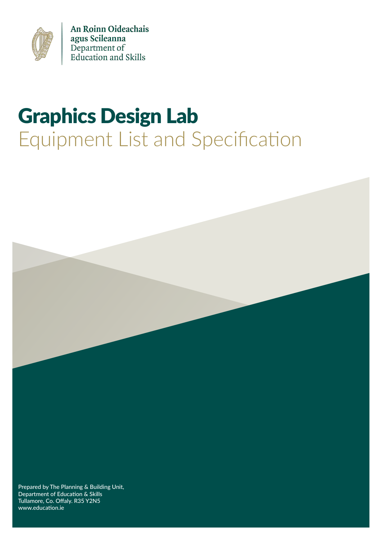

An Roinn Oideachais agus Scileanna Department of<br>Education and Skills

## Graphics Design Lab Equipment List and Specification



Department of Education & Skills Tullamore, Co. Offaly. R35 Y2N5 www.education.ie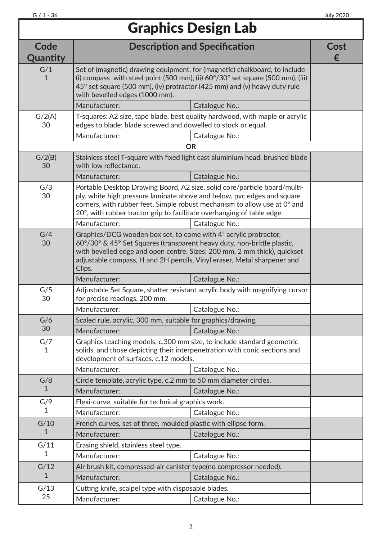## Graphics Design Lab

| Code<br>Quantity    | <b>Description and Specification</b>                                                                                                                                                                                                                                                                         |                | Cost<br>€ |
|---------------------|--------------------------------------------------------------------------------------------------------------------------------------------------------------------------------------------------------------------------------------------------------------------------------------------------------------|----------------|-----------|
| G/1<br>1            | Set of (magnetic) drawing equipment, for (magnetic) chalkboard, to include<br>(i) compass with steel point (500 mm), (ii) $60^{\circ}/30^{\circ}$ set square (500 mm), (iii)<br>45° set square (500 mm), (iv) protractor (425 mm) and (v) heavy duty rule<br>with bevelled edges (1000 mm).                  |                |           |
|                     | Manufacturer:                                                                                                                                                                                                                                                                                                | Catalogue No.: |           |
| G/2(A)<br>30        | T-squares: A2 size, tape blade, best quality hardwood, with maple or acrylic<br>edges to blade; blade screwed and dowelled to stock or equal.                                                                                                                                                                |                |           |
|                     | Manufacturer:                                                                                                                                                                                                                                                                                                | Catalogue No.: |           |
|                     |                                                                                                                                                                                                                                                                                                              | <b>OR</b>      |           |
| G/2(B)<br>30        | Stainless steel T-square with fixed light cast aluminium head, brushed blade<br>with low reflectance.                                                                                                                                                                                                        |                |           |
|                     | Manufacturer:                                                                                                                                                                                                                                                                                                | Catalogue No.: |           |
| G/3<br>30           | Portable Desktop Drawing Board, A2 size, solid core/particle board/multi-<br>ply, white high pressure laminate above and below, pvc edges and square<br>corners, with rubber feet. Simple robust mechanism to allow use at 0° and<br>20°, with rubber tractor grip to facilitate overhanging of table edge.  |                |           |
|                     | Manufacturer:                                                                                                                                                                                                                                                                                                | Catalogue No.: |           |
| G/4<br>30           | Graphics/DCG wooden box set, to come with 4" acrylic protractor,<br>60°/30° & 45° Set Squares (transparent heavy duty, non-brittle plastic,<br>with bevelled edge and open centre. Sizes: 200 mm, 2 mm thick), quickset<br>adjustable compass, H and 2H pencils, Vinyl eraser, Metal sharpener and<br>Clips. |                |           |
|                     | Manufacturer:                                                                                                                                                                                                                                                                                                | Catalogue No.: |           |
| G/5<br>30           | Adjustable Set Square, shatter resistant acrylic body with magnifying cursor<br>for precise readings, 200 mm.                                                                                                                                                                                                |                |           |
|                     | Manufacturer:                                                                                                                                                                                                                                                                                                | Catalogue No.: |           |
| G/6                 | Scaled rule, acrylic, 300 mm, suitable for graphics/drawing.                                                                                                                                                                                                                                                 |                |           |
| 30                  | Manufacturer:                                                                                                                                                                                                                                                                                                | Catalogue No.: |           |
| G/7<br>1            | Graphics teaching models, c.300 mm size, to include standard geometric<br>solids, and those depicting their interpenetration with conic sections and<br>development of surfaces. c.12 models.                                                                                                                |                |           |
|                     | Manufacturer:                                                                                                                                                                                                                                                                                                | Catalogue No.: |           |
| G/8                 | Circle template, acrylic type, c.2 mm to 50 mm diameter circles.                                                                                                                                                                                                                                             |                |           |
| 1                   | Manufacturer:<br>Catalogue No.:                                                                                                                                                                                                                                                                              |                |           |
| G/9                 | Flexi-curve, suitable for technical graphics work.                                                                                                                                                                                                                                                           |                |           |
| 1                   | Manufacturer:                                                                                                                                                                                                                                                                                                | Catalogue No.: |           |
| G/10                | French curves, set of three, moulded plastic with ellipse form.                                                                                                                                                                                                                                              |                |           |
| 1                   | Manufacturer:                                                                                                                                                                                                                                                                                                | Catalogue No.: |           |
| G/11                | Erasing shield, stainless steel type.                                                                                                                                                                                                                                                                        |                |           |
| 1                   | Manufacturer:<br>Catalogue No.:                                                                                                                                                                                                                                                                              |                |           |
| G/12<br>$\mathbf 1$ | Air brush kit, compressed-air canister type(no compressor needed).                                                                                                                                                                                                                                           |                |           |
|                     | Manufacturer:                                                                                                                                                                                                                                                                                                | Catalogue No.: |           |
| G/13<br>25          | Cutting knife, scalpel type with disposable blades.                                                                                                                                                                                                                                                          |                |           |
|                     | Manufacturer:                                                                                                                                                                                                                                                                                                | Catalogue No.: |           |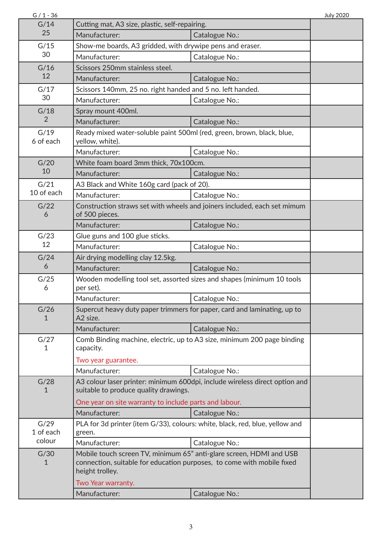| $G / 1 - 36$        |                                                                                                                                                                  |                | <b>July 2020</b> |
|---------------------|------------------------------------------------------------------------------------------------------------------------------------------------------------------|----------------|------------------|
| G/14<br>25          | Cutting mat, A3 size, plastic, self-repairing.                                                                                                                   |                |                  |
|                     | Manufacturer:                                                                                                                                                    | Catalogue No.: |                  |
| G/15                | Show-me boards, A3 gridded, with drywipe pens and eraser.                                                                                                        |                |                  |
| 30                  | Manufacturer:                                                                                                                                                    | Catalogue No.: |                  |
| G/16                | Scissors 250mm stainless steel.                                                                                                                                  |                |                  |
| 12                  | Manufacturer:                                                                                                                                                    | Catalogue No.: |                  |
| G/17                | Scissors 140mm, 25 no. right handed and 5 no. left handed.                                                                                                       |                |                  |
| 30                  | Manufacturer:                                                                                                                                                    | Catalogue No.: |                  |
| G/18                | Spray mount 400ml.                                                                                                                                               |                |                  |
| 2                   | Manufacturer:                                                                                                                                                    | Catalogue No.: |                  |
| G/19<br>6 of each   | Ready mixed water-soluble paint 500ml (red, green, brown, black, blue,<br>yellow, white).                                                                        |                |                  |
|                     | Manufacturer:                                                                                                                                                    | Catalogue No.: |                  |
| G/20                | White foam board 3mm thick, 70x100cm.                                                                                                                            |                |                  |
| 10                  | Manufacturer:                                                                                                                                                    | Catalogue No.: |                  |
| G/21                | A3 Black and White 160g card (pack of 20).                                                                                                                       |                |                  |
| 10 of each          | Manufacturer:                                                                                                                                                    | Catalogue No.: |                  |
| G/22<br>6           | Construction straws set with wheels and joiners included, each set mimum<br>of 500 pieces.                                                                       |                |                  |
|                     | Manufacturer:                                                                                                                                                    | Catalogue No.: |                  |
| G/23                | Glue guns and 100 glue sticks.                                                                                                                                   |                |                  |
| 12                  | Manufacturer:                                                                                                                                                    | Catalogue No.: |                  |
| G/24                | Air drying modelling clay 12.5kg.                                                                                                                                |                |                  |
| 6                   | Manufacturer:                                                                                                                                                    | Catalogue No.: |                  |
| G/25<br>6           | Wooden modelling tool set, assorted sizes and shapes (minimum 10 tools<br>per set).                                                                              |                |                  |
|                     | Manufacturer:                                                                                                                                                    | Catalogue No.: |                  |
| G/26<br>1           | Supercut heavy duty paper trimmers for paper, card and laminating, up to<br>A <sub>2</sub> size.                                                                 |                |                  |
|                     | Manufacturer:                                                                                                                                                    | Catalogue No.: |                  |
| G/27<br>1           | Comb Binding machine, electric, up to A3 size, minimum 200 page binding<br>capacity.                                                                             |                |                  |
|                     | Two year guarantee.                                                                                                                                              |                |                  |
|                     | Manufacturer:                                                                                                                                                    | Catalogue No.: |                  |
| G/28<br>1           | A3 colour laser printer: minimum 600dpi, include wireless direct option and<br>suitable to produce quality drawings.                                             |                |                  |
|                     | One year on site warranty to include parts and labour.                                                                                                           |                |                  |
|                     | Manufacturer:                                                                                                                                                    | Catalogue No.: |                  |
| G/29                | PLA for 3d printer (item G/33), colours: white, black, red, blue, yellow and                                                                                     |                |                  |
| 1 of each<br>colour | green.                                                                                                                                                           |                |                  |
|                     | Manufacturer:                                                                                                                                                    | Catalogue No.: |                  |
| G/30<br>1           | Mobile touch screen TV, minimum 65" anti-glare screen, HDMI and USB<br>connection, suitable for education purposes, to come with mobile fixed<br>height trolley. |                |                  |
|                     | Two Year warranty.                                                                                                                                               |                |                  |
|                     | Manufacturer:                                                                                                                                                    | Catalogue No.: |                  |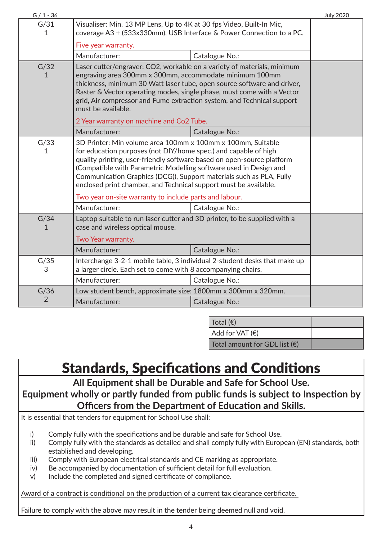| $G / 1 - 36$                                                         |                                                                                                                                                                                                                                                                                                                                                                                                                          |                | <b>July 2020</b> |
|----------------------------------------------------------------------|--------------------------------------------------------------------------------------------------------------------------------------------------------------------------------------------------------------------------------------------------------------------------------------------------------------------------------------------------------------------------------------------------------------------------|----------------|------------------|
| G/31<br>1                                                            | Visualiser: Min. 13 MP Lens, Up to 4K at 30 fps Video, Built-In Mic,<br>coverage A3 + (533x330mm), USB Interface & Power Connection to a PC.                                                                                                                                                                                                                                                                             |                |                  |
|                                                                      | Five year warranty.                                                                                                                                                                                                                                                                                                                                                                                                      |                |                  |
|                                                                      | Manufacturer:                                                                                                                                                                                                                                                                                                                                                                                                            | Catalogue No.: |                  |
| G/32<br>1                                                            | Laser cutter/engraver: CO2, workable on a variety of materials, minimum<br>engraving area 300mm x 300mm, accommodate minimum 100mm<br>thickness, minimum 30 Watt laser tube, open source software and driver,<br>Raster & Vector operating modes, single phase, must come with a Vector<br>grid, Air compressor and Fume extraction system, and Technical support<br>must be available.                                  |                |                  |
|                                                                      | 2 Year warranty on machine and Co2 Tube.                                                                                                                                                                                                                                                                                                                                                                                 |                |                  |
|                                                                      | Manufacturer:                                                                                                                                                                                                                                                                                                                                                                                                            | Catalogue No.: |                  |
| G/33<br>1                                                            | 3D Printer: Min volume area 100mm x 100mm x 100mm, Suitable<br>for education purposes (not DIY/home spec.) and capable of high<br>quality printing, user-friendly software based on open-source platform<br>(Compatible with Parametric Modelling software used in Design and<br>Communication Graphics (DCG)), Support materials such as PLA, Fully<br>enclosed print chamber, and Technical support must be available. |                |                  |
|                                                                      | Two year on-site warranty to include parts and labour.                                                                                                                                                                                                                                                                                                                                                                   |                |                  |
|                                                                      | Manufacturer:                                                                                                                                                                                                                                                                                                                                                                                                            | Catalogue No.: |                  |
| G/34<br>1                                                            | Laptop suitable to run laser cutter and 3D printer, to be supplied with a<br>case and wireless optical mouse.<br>Two Year warranty.                                                                                                                                                                                                                                                                                      |                |                  |
|                                                                      |                                                                                                                                                                                                                                                                                                                                                                                                                          |                |                  |
|                                                                      | Manufacturer:                                                                                                                                                                                                                                                                                                                                                                                                            | Catalogue No.: |                  |
| G/35<br>3                                                            | Interchange 3-2-1 mobile table, 3 individual 2-student desks that make up<br>a larger circle. Each set to come with 8 accompanying chairs.                                                                                                                                                                                                                                                                               |                |                  |
|                                                                      | Manufacturer:                                                                                                                                                                                                                                                                                                                                                                                                            | Catalogue No.: |                  |
| G/36<br>Low student bench, approximate size: 1800mm x 300mm x 320mm. |                                                                                                                                                                                                                                                                                                                                                                                                                          |                |                  |
| $\overline{2}$                                                       | Manufacturer:                                                                                                                                                                                                                                                                                                                                                                                                            | Catalogue No.: |                  |

| Total $(\epsilon)$                     |  |
|----------------------------------------|--|
| Add for VAT(E)                         |  |
| Total amount for GDL list $(\epsilon)$ |  |

## Standards, Specifications and Conditions

**All Equipment shall be Durable and Safe for School Use. Equipment wholly or partly funded from public funds is subject to Inspection by Officers from the Department of Education and Skills.**

It is essential that tenders for equipment for School Use shall:

- i) Comply fully with the specifications and be durable and safe for School Use.
- ii) Comply fully with the standards as detailed and shall comply fully with European (EN) standards, both established and developing.
- iii) Comply with European electrical standards and CE marking as appropriate.
- iv) Be accompanied by documentation of sufficient detail for full evaluation.
- v) Include the completed and signed certificate of compliance.

Award of a contract is conditional on the production of a current tax clearance certificate.

Failure to comply with the above may result in the tender being deemed null and void.